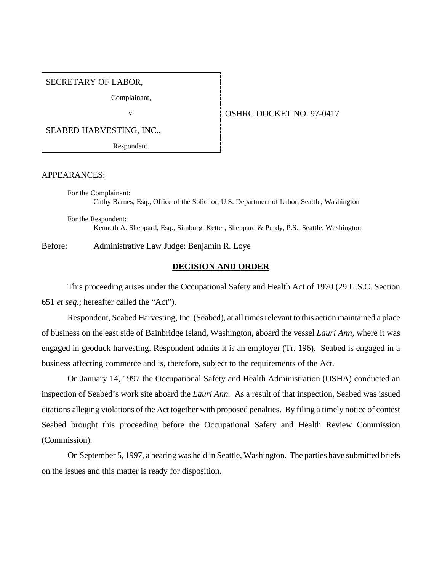# SECRETARY OF LABOR,

Complainant,

#### v. 0SHRC DOCKET NO. 97-0417

SEABED HARVESTING, INC.,

Respondent.

#### APPEARANCES:

For the Complainant: Cathy Barnes, Esq., Office of the Solicitor, U.S. Department of Labor, Seattle, Washington For the Respondent:

Kenneth A. Sheppard, Esq., Simburg, Ketter, Sheppard & Purdy, P.S., Seattle, Washington

Before: Administrative Law Judge: Benjamin R. Loye

### **DECISION AND ORDER**

This proceeding arises under the Occupational Safety and Health Act of 1970 (29 U.S.C. Section 651 *et seq.*; hereafter called the "Act").

Respondent, Seabed Harvesting, Inc. (Seabed), at all times relevant to this action maintained a place of business on the east side of Bainbridge Island, Washington, aboard the vessel *Lauri Ann,* where it was engaged in geoduck harvesting. Respondent admits it is an employer (Tr. 196). Seabed is engaged in a business affecting commerce and is, therefore, subject to the requirements of the Act.

On January 14, 1997 the Occupational Safety and Health Administration (OSHA) conducted an inspection of Seabed's work site aboard the *Lauri Ann.* As a result of that inspection, Seabed was issued citations alleging violations of the Act together with proposed penalties. By filing a timely notice of contest Seabed brought this proceeding before the Occupational Safety and Health Review Commission (Commission).

On September 5, 1997, a hearing was held in Seattle, Washington. The parties have submitted briefs on the issues and this matter is ready for disposition.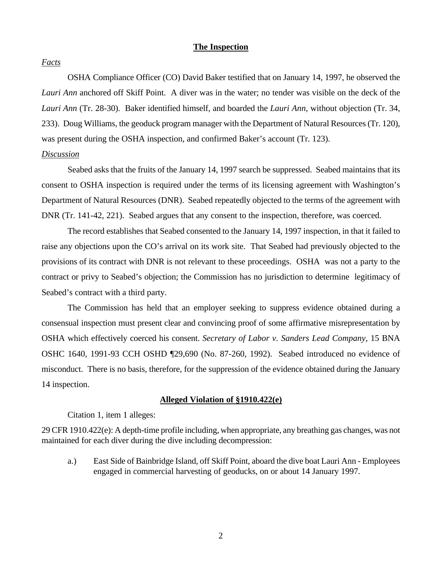### **The Inspection**

### *Facts*

OSHA Compliance Officer (CO) David Baker testified that on January 14, 1997, he observed the *Lauri Ann* anchored off Skiff Point. A diver was in the water; no tender was visible on the deck of the *Lauri Ann* (Tr. 28-30). Baker identified himself, and boarded the *Lauri Ann*, without objection (Tr. 34, 233). Doug Williams, the geoduck program manager with the Department of Natural Resources (Tr. 120), was present during the OSHA inspection, and confirmed Baker's account (Tr. 123).

# *Discussion*

Seabed asks that the fruits of the January 14, 1997 search be suppressed. Seabed maintains that its consent to OSHA inspection is required under the terms of its licensing agreement with Washington's Department of Natural Resources (DNR). Seabed repeatedly objected to the terms of the agreement with DNR (Tr. 141-42, 221). Seabed argues that any consent to the inspection, therefore, was coerced.

The record establishes that Seabed consented to the January 14, 1997 inspection, in that it failed to raise any objections upon the CO's arrival on its work site. That Seabed had previously objected to the provisions of its contract with DNR is not relevant to these proceedings. OSHA was not a party to the contract or privy to Seabed's objection; the Commission has no jurisdiction to determine legitimacy of Seabed's contract with a third party.

The Commission has held that an employer seeking to suppress evidence obtained during a consensual inspection must present clear and convincing proof of some affirmative misrepresentation by OSHA which effectively coerced his consent. *Secretary of Labor v. Sanders Lead Company*, 15 BNA OSHC 1640, 1991-93 CCH OSHD ¶29,690 (No. 87-260, 1992). Seabed introduced no evidence of misconduct. There is no basis, therefore, for the suppression of the evidence obtained during the January 14 inspection.

### **Alleged Violation of §1910.422(e)**

Citation 1, item 1 alleges:

29 CFR 1910.422(e): A depth-time profile including, when appropriate, any breathing gas changes, was not maintained for each diver during the dive including decompression:

a.) East Side of Bainbridge Island, off Skiff Point, aboard the dive boat Lauri Ann - Employees engaged in commercial harvesting of geoducks, on or about 14 January 1997.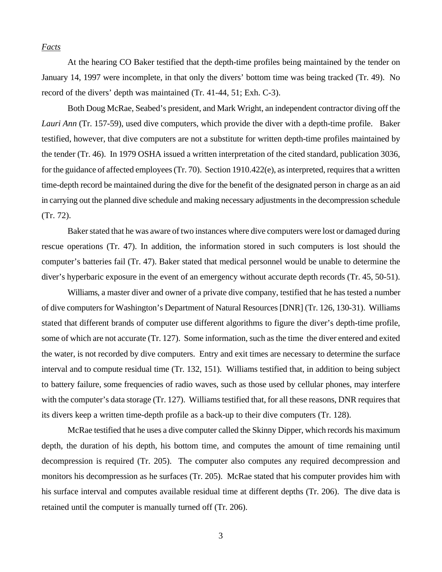### *Facts*

At the hearing CO Baker testified that the depth-time profiles being maintained by the tender on January 14, 1997 were incomplete, in that only the divers' bottom time was being tracked (Tr. 49). No record of the divers' depth was maintained (Tr. 41-44, 51; Exh. C-3).

Both Doug McRae, Seabed's president, and Mark Wright, an independent contractor diving off the *Lauri Ann* (Tr. 157-59), used dive computers, which provide the diver with a depth-time profile. Baker testified, however, that dive computers are not a substitute for written depth-time profiles maintained by the tender (Tr. 46). In 1979 OSHA issued a written interpretation of the cited standard, publication 3036, for the guidance of affected employees (Tr. 70). Section 1910.422(e), as interpreted, requires that a written time-depth record be maintained during the dive for the benefit of the designated person in charge as an aid in carrying out the planned dive schedule and making necessary adjustments in the decompression schedule (Tr. 72).

Baker stated that he was aware of two instances where dive computers were lost or damaged during rescue operations (Tr. 47). In addition, the information stored in such computers is lost should the computer's batteries fail (Tr. 47). Baker stated that medical personnel would be unable to determine the diver's hyperbaric exposure in the event of an emergency without accurate depth records (Tr. 45, 50-51).

Williams, a master diver and owner of a private dive company, testified that he has tested a number of dive computers for Washington's Department of Natural Resources [DNR] (Tr. 126, 130-31). Williams stated that different brands of computer use different algorithms to figure the diver's depth-time profile, some of which are not accurate (Tr. 127). Some information, such as the time the diver entered and exited the water, is not recorded by dive computers. Entry and exit times are necessary to determine the surface interval and to compute residual time (Tr. 132, 151). Williams testified that, in addition to being subject to battery failure, some frequencies of radio waves, such as those used by cellular phones, may interfere with the computer's data storage (Tr. 127). Williams testified that, for all these reasons, DNR requires that its divers keep a written time-depth profile as a back-up to their dive computers (Tr. 128).

McRae testified that he uses a dive computer called the Skinny Dipper, which records his maximum depth, the duration of his depth, his bottom time, and computes the amount of time remaining until decompression is required (Tr. 205). The computer also computes any required decompression and monitors his decompression as he surfaces (Tr. 205). McRae stated that his computer provides him with his surface interval and computes available residual time at different depths (Tr. 206). The dive data is retained until the computer is manually turned off (Tr. 206).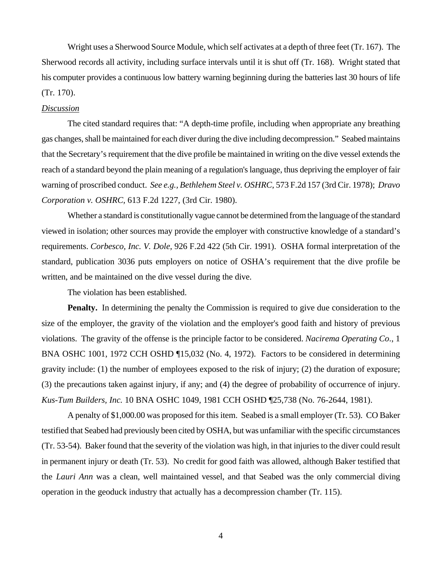Wright uses a Sherwood Source Module, which self activates at a depth of three feet (Tr. 167). The Sherwood records all activity, including surface intervals until it is shut off (Tr. 168). Wright stated that his computer provides a continuous low battery warning beginning during the batteries last 30 hours of life (Tr. 170).

### *Discussion*

The cited standard requires that: "A depth-time profile, including when appropriate any breathing gas changes, shall be maintained for each diver during the dive including decompression." Seabed maintains that the Secretary's requirement that the dive profile be maintained in writing on the dive vessel extends the reach of a standard beyond the plain meaning of a regulation's language, thus depriving the employer of fair warning of proscribed conduct. *See e.g., Bethlehem Steel v. OSHRC*, 573 F.2d 157 (3rd Cir. 1978); *Dravo Corporation v. OSHRC,* 613 F.2d 1227, (3rd Cir. 1980).

Whether a standard is constitutionally vague cannot be determined from the language of the standard viewed in isolation; other sources may provide the employer with constructive knowledge of a standard's requirements. *Corbesco, Inc. V. Dole*, 926 F.2d 422 (5th Cir. 1991). OSHA formal interpretation of the standard, publication 3036 puts employers on notice of OSHA's requirement that the dive profile be written, and be maintained on the dive vessel during the dive.

The violation has been established.

**Penalty.** In determining the penalty the Commission is required to give due consideration to the size of the employer, the gravity of the violation and the employer's good faith and history of previous violations. The gravity of the offense is the principle factor to be considered. *Nacirema Operating Co*., 1 BNA OSHC 1001, 1972 CCH OSHD ¶15,032 (No. 4, 1972). Factors to be considered in determining gravity include: (1) the number of employees exposed to the risk of injury; (2) the duration of exposure; (3) the precautions taken against injury, if any; and (4) the degree of probability of occurrence of injury. *Kus-Tum Builders, Inc.* 10 BNA OSHC 1049, 1981 CCH OSHD ¶25,738 (No. 76-2644, 1981).

A penalty of \$1,000.00 was proposed for this item. Seabed is a small employer (Tr. 53). CO Baker testified that Seabed had previously been cited by OSHA, but was unfamiliar with the specific circumstances (Tr. 53-54). Baker found that the severity of the violation was high, in that injuries to the diver could result in permanent injury or death (Tr. 53). No credit for good faith was allowed, although Baker testified that the *Lauri Ann* was a clean, well maintained vessel, and that Seabed was the only commercial diving operation in the geoduck industry that actually has a decompression chamber (Tr. 115).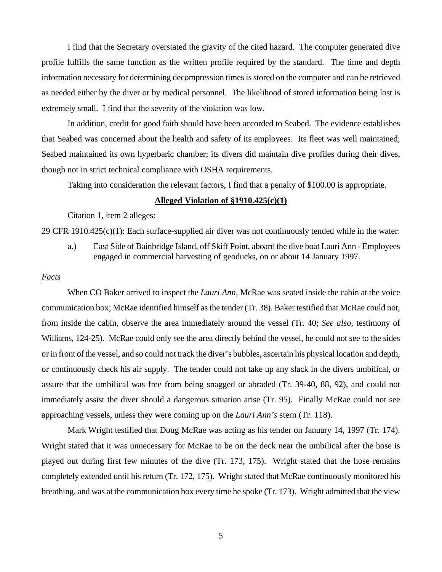I find that the Secretary overstated the gravity of the cited hazard. The computer generated dive profile fulfills the same function as the written profile required by the standard. The time and depth information necessary for determining decompression times is stored on the computer and can be retrieved as needed either by the diver or by medical personnel. The likelihood of stored information being lost is extremely small. I find that the severity of the violation was low.

In addition, credit for good faith should have been accorded to Seabed. The evidence establishes that Seabed was concerned about the health and safety of its employees. Its fleet was well maintained; Seabed maintained its own hyperbaric chamber; its divers did maintain dive profiles during their dives, though not in strict technical compliance with OSHA requirements.

Taking into consideration the relevant factors, I find that a penalty of \$100.00 is appropriate.

# **Alleged Violation of §1910.425(c)(1)**

Citation 1, item 2 alleges:

29 CFR 1910.425(c)(1): Each surface-supplied air diver was not continuously tended while in the water:

a.) East Side of Bainbridge Island, off Skiff Point, aboard the dive boat Lauri Ann - Employees engaged in commercial harvesting of geoducks, on or about 14 January 1997.

#### *Facts*

When CO Baker arrived to inspect the *Lauri Ann*, McRae was seated inside the cabin at the voice communication box; McRae identified himself as the tender (Tr. 38). Baker testified that McRae could not, from inside the cabin, observe the area immediately around the vessel (Tr. 40; *See also,* testimony of Williams, 124-25). McRae could only see the area directly behind the vessel, he could not see to the sides or in front of the vessel, and so could not track the diver's bubbles, ascertain his physical location and depth, or continuously check his air supply. The tender could not take up any slack in the divers umbilical, or assure that the umbilical was free from being snagged or abraded (Tr. 39-40, 88, 92), and could not immediately assist the diver should a dangerous situation arise (Tr. 95). Finally McRae could not see approaching vessels, unless they were coming up on the *Lauri Ann's* stern (Tr. 118).

Mark Wright testified that Doug McRae was acting as his tender on January 14, 1997 (Tr. 174). Wright stated that it was unnecessary for McRae to be on the deck near the umbilical after the hose is played out during first few minutes of the dive (Tr. 173, 175). Wright stated that the hose remains completely extended until his return (Tr. 172, 175). Wright stated that McRae continuously monitored his breathing, and was at the communication box every time he spoke (Tr. 173). Wright admitted that the view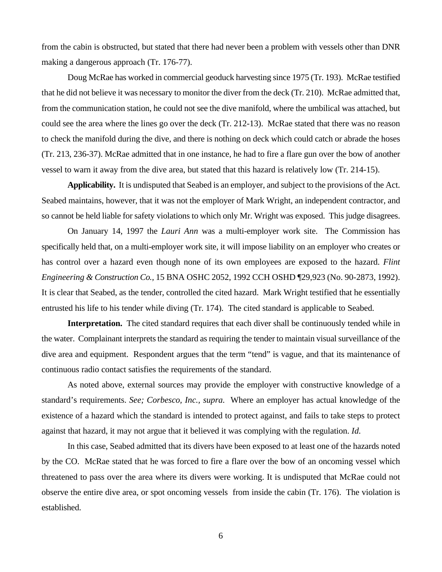from the cabin is obstructed, but stated that there had never been a problem with vessels other than DNR making a dangerous approach (Tr. 176-77).

Doug McRae has worked in commercial geoduck harvesting since 1975 (Tr. 193). McRae testified that he did not believe it was necessary to monitor the diver from the deck (Tr. 210). McRae admitted that, from the communication station, he could not see the dive manifold, where the umbilical was attached, but could see the area where the lines go over the deck (Tr. 212-13). McRae stated that there was no reason to check the manifold during the dive, and there is nothing on deck which could catch or abrade the hoses (Tr. 213, 236-37). McRae admitted that in one instance, he had to fire a flare gun over the bow of another vessel to warn it away from the dive area, but stated that this hazard is relatively low (Tr. 214-15).

**Applicability.** It is undisputed that Seabed is an employer, and subject to the provisions of the Act. Seabed maintains, however, that it was not the employer of Mark Wright, an independent contractor, and so cannot be held liable for safety violations to which only Mr. Wright was exposed. This judge disagrees.

On January 14, 1997 the *Lauri Ann* was a multi-employer work site. The Commission has specifically held that, on a multi-employer work site, it will impose liability on an employer who creates or has control over a hazard even though none of its own employees are exposed to the hazard. *Flint Engineering & Construction Co.,* 15 BNA OSHC 2052, 1992 CCH OSHD ¶29,923 (No. 90-2873, 1992). It is clear that Seabed, as the tender, controlled the cited hazard. Mark Wright testified that he essentially entrusted his life to his tender while diving (Tr. 174). The cited standard is applicable to Seabed.

**Interpretation.** The cited standard requires that each diver shall be continuously tended while in the water. Complainant interprets the standard as requiring the tender to maintain visual surveillance of the dive area and equipment. Respondent argues that the term "tend" is vague, and that its maintenance of continuous radio contact satisfies the requirements of the standard.

As noted above, external sources may provide the employer with constructive knowledge of a standard's requirements. *See; Corbesco, Inc., supra.* Where an employer has actual knowledge of the existence of a hazard which the standard is intended to protect against, and fails to take steps to protect against that hazard, it may not argue that it believed it was complying with the regulation. *Id.*

In this case, Seabed admitted that its divers have been exposed to at least one of the hazards noted by the CO. McRae stated that he was forced to fire a flare over the bow of an oncoming vessel which threatened to pass over the area where its divers were working. It is undisputed that McRae could not observe the entire dive area, or spot oncoming vessels from inside the cabin (Tr. 176). The violation is established.